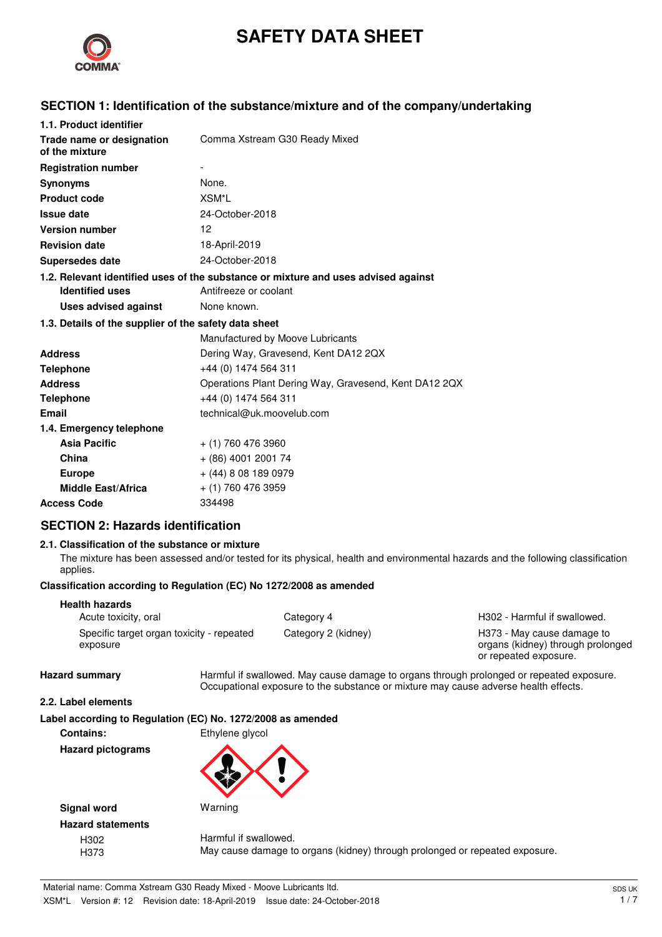

# **SAFETY DATA SHEET**

## **SECTION 1: Identification of the substance/mixture and of the company/undertaking**

| 1.1. Product identifier                               |                                                                                    |
|-------------------------------------------------------|------------------------------------------------------------------------------------|
| Trade name or designation<br>of the mixture           | Comma Xstream G30 Ready Mixed                                                      |
| <b>Registration number</b>                            |                                                                                    |
| <b>Synonyms</b>                                       | None.                                                                              |
| <b>Product code</b>                                   | XSM*L                                                                              |
| <b>Issue date</b>                                     | 24-October-2018                                                                    |
| <b>Version number</b>                                 | 12                                                                                 |
| <b>Revision date</b>                                  | 18-April-2019                                                                      |
| <b>Supersedes date</b>                                | 24-October-2018                                                                    |
|                                                       | 1.2. Relevant identified uses of the substance or mixture and uses advised against |
| <b>Identified uses</b>                                | Antifreeze or coolant                                                              |
| Uses advised against                                  | None known.                                                                        |
| 1.3. Details of the supplier of the safety data sheet |                                                                                    |
|                                                       | Manufactured by Moove Lubricants                                                   |
| <b>Address</b>                                        | Dering Way, Gravesend, Kent DA12 2QX                                               |
| <b>Telephone</b>                                      | +44 (0) 1474 564 311                                                               |
| <b>Address</b>                                        | Operations Plant Dering Way, Gravesend, Kent DA12 2QX                              |
| <b>Telephone</b>                                      | +44 (0) 1474 564 311                                                               |
| Email                                                 | technical@uk.moovelub.com                                                          |
| 1.4. Emergency telephone                              |                                                                                    |
| <b>Asia Pacific</b>                                   | $+$ (1) 760 476 3960                                                               |
| China                                                 | + (86) 4001 2001 74                                                                |
| <b>Europe</b>                                         | $+$ (44) 8 08 189 0979                                                             |
| <b>Middle East/Africa</b>                             | + (1) 760 476 3959                                                                 |
| <b>Access Code</b>                                    | 334498                                                                             |

## **SECTION 2: Hazards identification**

#### **2.1. Classification of the substance or mixture**

The mixture has been assessed and/or tested for its physical, health and environmental hazards and the following classification applies.

#### **Classification according to Regulation (EC) No 1272/2008 as amended**

| <b>Health hazards</b>                                 |                     |
|-------------------------------------------------------|---------------------|
| Acute toxicity, oral                                  | Category 4          |
| Specific target organ toxicity - repeated<br>exposure | Category 2 (kidney) |

H302 - Harmful if swallowed. H373 - May cause damage to organs (kidney) through prolonged or repeated exposure.

Hazard summary **Harmful if swallowed.** May cause damage to organs through prolonged or repeated exposure. Occupational exposure to the substance or mixture may cause adverse health effects.

#### **2.2. Label elements**

|  | Label according to Regulation (EC) No. 1272/2008 as amended |  |  |  |
|--|-------------------------------------------------------------|--|--|--|
|  |                                                             |  |  |  |

**Contains:** Ethylene glycol

**Hazard pictograms**



**Signal word** Warning **Hazard statements**

H302 Harmful if swallowed. H373 May cause damage to organs (kidney) through prolonged or repeated exposure.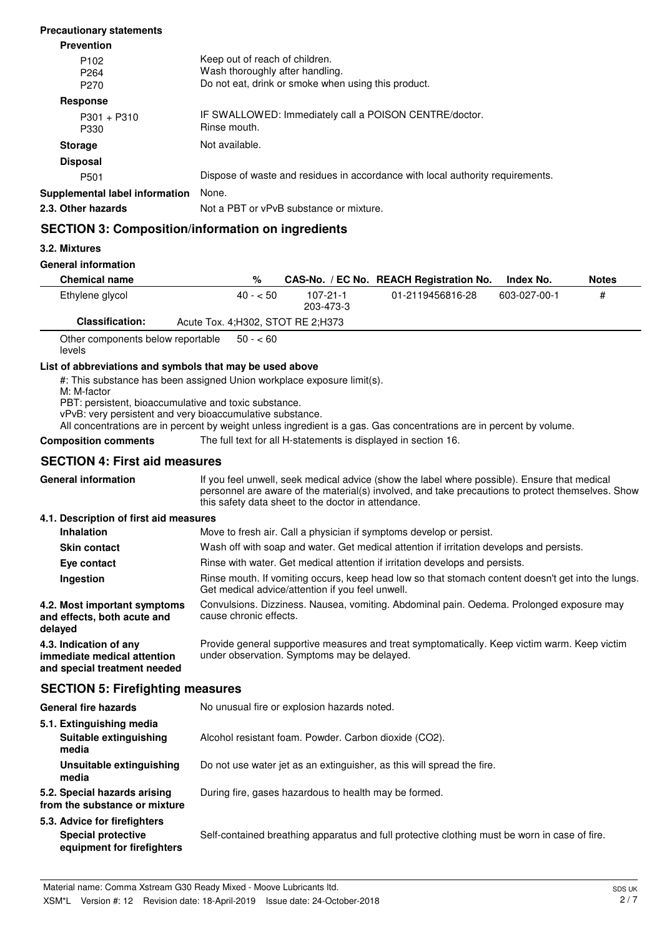| <b>Prevention</b>                                        |                                                                                                                          |
|----------------------------------------------------------|--------------------------------------------------------------------------------------------------------------------------|
| P <sub>102</sub><br>P <sub>264</sub><br>P <sub>270</sub> | Keep out of reach of children.<br>Wash thoroughly after handling.<br>Do not eat, drink or smoke when using this product. |
| <b>Response</b>                                          |                                                                                                                          |
| $P301 + P310$<br>P330                                    | IF SWALLOWED: Immediately call a POISON CENTRE/doctor.<br>Rinse mouth.                                                   |
| <b>Storage</b>                                           | Not available.                                                                                                           |
| <b>Disposal</b>                                          |                                                                                                                          |
| P <sub>501</sub>                                         | Dispose of waste and residues in accordance with local authority requirements.                                           |
| Supplemental label information                           | None.                                                                                                                    |
| 2.3. Other hazards                                       | Not a PBT or vPvB substance or mixture.                                                                                  |

## **SECTION 3: Composition/information on ingredients**

#### **3.2. Mixtures**

#### **General information**

**Precautionary statements**

| <b>Chemical name</b>   | %                                   |                       | CAS-No. / EC No. REACH Registration No. | Index No.    | <b>Notes</b> |
|------------------------|-------------------------------------|-----------------------|-----------------------------------------|--------------|--------------|
| Ethylene glycol        | $40 - 50$                           | 107-21-1<br>203-473-3 | 01-2119456816-28                        | 603-027-00-1 | #            |
| <b>Classification:</b> | Acute Tox. 4: H302, STOT RE 2: H373 |                       |                                         |              |              |

Other components below reportable levels  $50 - 60$ 

#### **List of abbreviations and symbols that may be used above**

#: This substance has been assigned Union workplace exposure limit(s).

M: M-factor

PBT: persistent, bioaccumulative and toxic substance.

vPvB: very persistent and very bioaccumulative substance.

All concentrations are in percent by weight unless ingredient is a gas. Gas concentrations are in percent by volume.

**Composition comments** The full text for all H-statements is displayed in section 16.

### **SECTION 4: First aid measures**

| <b>General information</b>                                                            | If you feel unwell, seek medical advice (show the label where possible). Ensure that medical<br>personnel are aware of the material(s) involved, and take precautions to protect themselves. Show<br>this safety data sheet to the doctor in attendance. |
|---------------------------------------------------------------------------------------|----------------------------------------------------------------------------------------------------------------------------------------------------------------------------------------------------------------------------------------------------------|
| 4.1. Description of first aid measures                                                |                                                                                                                                                                                                                                                          |
| <b>Inhalation</b>                                                                     | Move to fresh air. Call a physician if symptoms develop or persist.                                                                                                                                                                                      |
| <b>Skin contact</b>                                                                   | Wash off with soap and water. Get medical attention if irritation develops and persists.                                                                                                                                                                 |
| Eye contact                                                                           | Rinse with water. Get medical attention if irritation develops and persists.                                                                                                                                                                             |
| Ingestion                                                                             | Rinse mouth. If vomiting occurs, keep head low so that stomach content doesn't get into the lungs.<br>Get medical advice/attention if you feel unwell.                                                                                                   |
| 4.2. Most important symptoms<br>and effects, both acute and<br>delayed                | Convulsions. Dizziness. Nausea, vomiting. Abdominal pain. Oedema. Prolonged exposure may<br>cause chronic effects.                                                                                                                                       |
| 4.3. Indication of any<br>immediate medical attention<br>and special treatment needed | Provide general supportive measures and treat symptomatically. Keep victim warm. Keep victim<br>under observation. Symptoms may be delayed.                                                                                                              |
| <b>SECTION 5: Firefighting measures</b>                                               |                                                                                                                                                                                                                                                          |

## General fire hazards **No unusual fire or explosion hazards noted. 5.1. Extinguishing media Suitable extinguishing** Alcohol resistant foam. Powder. Carbon dioxide (CO2). **media Unsuitable extinguishing** Do not use water jet as an extinguisher, as this will spread the fire. **media 5.2. Special hazards arising** During fire, gases hazardous to health may be formed. **from the substance or mixture 5.3. Advice for firefighters**

**Special protective** Self-contained breathing apparatus and full protective clothing must be worn in case of fire. **equipment for firefighters**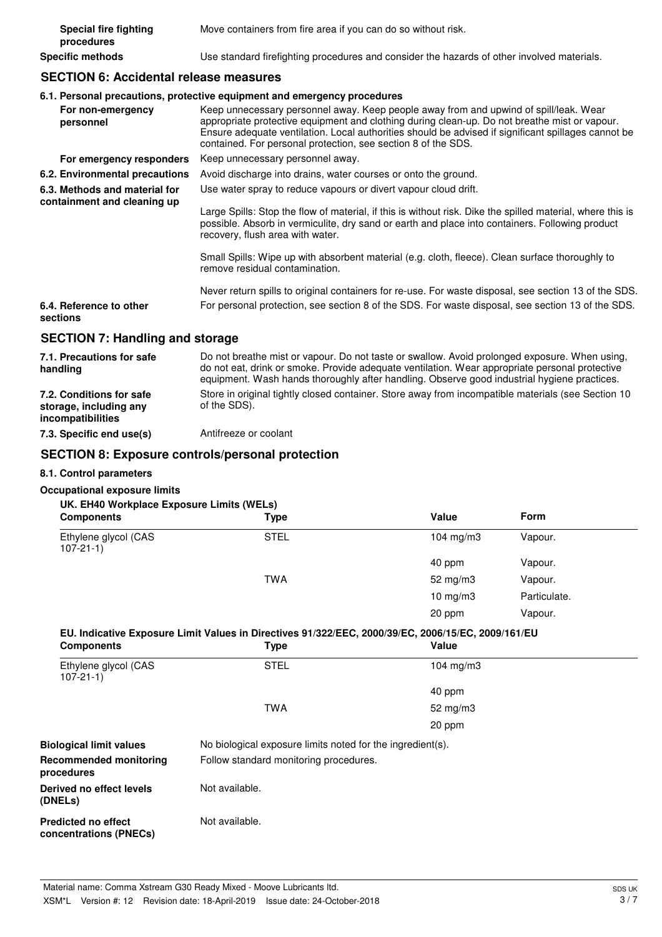| Special fire fighting<br>procedures | Move containers from fire area if you can do so without risk.                              |
|-------------------------------------|--------------------------------------------------------------------------------------------|
| Specific methods                    | Use standard firefighting procedures and consider the hazards of other involved materials. |

## **SECTION 6: Accidental release measures**

#### **6.1. Personal precautions, protective equipment and emergency procedures**

| For non-emergency<br>personnel                               | Keep unnecessary personnel away. Keep people away from and upwind of spill/leak. Wear<br>appropriate protective equipment and clothing during clean-up. Do not breathe mist or vapour.<br>Ensure adequate ventilation. Local authorities should be advised if significant spillages cannot be<br>contained. For personal protection, see section 8 of the SDS. |
|--------------------------------------------------------------|----------------------------------------------------------------------------------------------------------------------------------------------------------------------------------------------------------------------------------------------------------------------------------------------------------------------------------------------------------------|
| For emergency responders                                     | Keep unnecessary personnel away.                                                                                                                                                                                                                                                                                                                               |
| 6.2. Environmental precautions                               | Avoid discharge into drains, water courses or onto the ground.                                                                                                                                                                                                                                                                                                 |
| 6.3. Methods and material for<br>containment and cleaning up | Use water spray to reduce vapours or divert vapour cloud drift.                                                                                                                                                                                                                                                                                                |
|                                                              | Large Spills: Stop the flow of material, if this is without risk. Dike the spilled material, where this is<br>possible. Absorb in vermiculite, dry sand or earth and place into containers. Following product<br>recovery, flush area with water.                                                                                                              |
|                                                              | Small Spills: Wipe up with absorbent material (e.g. cloth, fleece). Clean surface thoroughly to<br>remove residual contamination.                                                                                                                                                                                                                              |
|                                                              | Never return spills to original containers for re-use. For waste disposal, see section 13 of the SDS.                                                                                                                                                                                                                                                          |
| 6.4. Reference to other<br>sections                          | For personal protection, see section 8 of the SDS. For waste disposal, see section 13 of the SDS.                                                                                                                                                                                                                                                              |
| <b>SECTION 7: Handling and storage</b>                       |                                                                                                                                                                                                                                                                                                                                                                |
|                                                              |                                                                                                                                                                                                                                                                                                                                                                |

| 7.1. Precautions for safe<br>handling                                   | Do not breathe mist or vapour. Do not taste or swallow. Avoid prolonged exposure. When using,<br>do not eat, drink or smoke. Provide adequate ventilation. Wear appropriate personal protective<br>equipment. Wash hands thoroughly after handling. Observe good industrial hygiene practices. |
|-------------------------------------------------------------------------|------------------------------------------------------------------------------------------------------------------------------------------------------------------------------------------------------------------------------------------------------------------------------------------------|
| 7.2. Conditions for safe<br>storage, including any<br>incompatibilities | Store in original tightly closed container. Store away from incompatible materials (see Section 10<br>of the SDS).                                                                                                                                                                             |
| 7.3. Specific end use(s)                                                | Antifreeze or coolant                                                                                                                                                                                                                                                                          |

#### **SECTION 8: Exposure controls/personal protection**

### **8.1. Control parameters**

#### **Occupational exposure limits**

| <b>Type</b> | Value                      | Form                                      |
|-------------|----------------------------|-------------------------------------------|
| <b>STEL</b> | 104 mg/m $3$               | Vapour.                                   |
|             | 40 ppm                     | Vapour.                                   |
| <b>TWA</b>  | 52 mg/m $3$                | Vapour.                                   |
|             | $10 \text{ mg}/\text{m}$ 3 | Particulate.                              |
|             | 20 ppm                     | Vapour.                                   |
|             |                            | UK. EH40 Workplace Exposure Limits (WELs) |

### **EU. Indicative Exposure Limit Values in Directives 91/322/EEC, 2000/39/EC, 2006/15/EC, 2009/161/EU**

| <b>Components</b>                                    | Type                                                       | Value        |  |
|------------------------------------------------------|------------------------------------------------------------|--------------|--|
| Ethylene glycol (CAS<br>$107 - 21 - 1$               | <b>STEL</b>                                                | 104 mg/m $3$ |  |
|                                                      |                                                            | 40 ppm       |  |
|                                                      | <b>TWA</b>                                                 | 52 $mg/m3$   |  |
|                                                      |                                                            | 20 ppm       |  |
| <b>Biological limit values</b>                       | No biological exposure limits noted for the ingredient(s). |              |  |
| <b>Recommended monitoring</b><br>procedures          | Follow standard monitoring procedures.                     |              |  |
| Derived no effect levels<br>(DNELs)                  | Not available.                                             |              |  |
| <b>Predicted no effect</b><br>concentrations (PNECs) | Not available.                                             |              |  |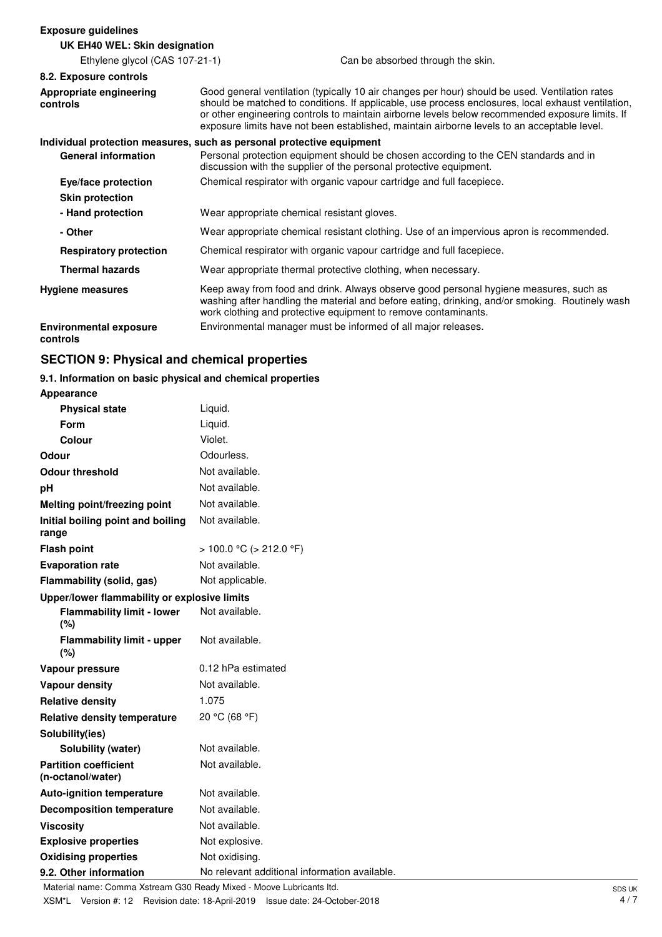#### **Exposure guidelines**

#### **UK EH40 WEL: Skin designation** Ethylene glycol (CAS 107-21-1) Can be absorbed through the skin. **8.2. Exposure controls** Good general ventilation (typically 10 air changes per hour) should be used. Ventilation rates should be matched to conditions. If applicable, use process enclosures, local exhaust ventilation, or other engineering controls to maintain airborne levels below recommended exposure limits. If exposure limits have not been established, maintain airborne levels to an acceptable level. **Appropriate engineering controls Individual protection measures, such as personal protective equipment** Personal protection equipment should be chosen according to the CEN standards and in discussion with the supplier of the personal protective equipment. **General information Eye/face protection** Chemical respirator with organic vapour cartridge and full facepiece. **Skin protection - Hand protection** Wear appropriate chemical resistant gloves. **- Other** Wear appropriate chemical resistant clothing. Use of an impervious apron is recommended. **Respiratory protection** Chemical respirator with organic vapour cartridge and full facepiece. **Thermal hazards** Wear appropriate thermal protective clothing, when necessary. Keep away from food and drink. Always observe good personal hygiene measures, such as washing after handling the material and before eating, drinking, and/or smoking. Routinely wash work clothing and protective equipment to remove contaminants. **Hygiene measures Environmental exposure** Environmental manager must be informed of all major releases. **controls**

## **SECTION 9: Physical and chemical properties**

## **9.1. Information on basic physical and chemical properties**

**Appearance**

| <b>Physical state</b>                             | Liquid.                                       |
|---------------------------------------------------|-----------------------------------------------|
| Form                                              | Liquid.                                       |
| Colour                                            | Violet.                                       |
| Odour                                             | Odourless.                                    |
| <b>Odour threshold</b>                            | Not available.                                |
| рH                                                | Not available.                                |
| Melting point/freezing point                      | Not available.                                |
| Initial boiling point and boiling<br>range        | Not available.                                |
| <b>Flash point</b>                                | $> 100.0 °C$ ( $> 212.0 °F$ )                 |
| <b>Evaporation rate</b>                           | Not available.                                |
| Flammability (solid, gas)                         | Not applicable.                               |
| Upper/lower flammability or explosive limits      |                                               |
| <b>Flammability limit - lower</b><br>(%)          | Not available.                                |
| <b>Flammability limit - upper</b><br>(%)          | Not available.                                |
| Vapour pressure                                   | 0.12 hPa estimated                            |
| <b>Vapour density</b>                             | Not available.                                |
| <b>Relative density</b>                           | 1.075                                         |
| <b>Relative density temperature</b>               | 20 °C (68 °F)                                 |
| Solubility(ies)                                   |                                               |
| Solubility (water)                                | Not available.                                |
| <b>Partition coefficient</b><br>(n-octanol/water) | Not available.                                |
| <b>Auto-ignition temperature</b>                  | Not available.                                |
| <b>Decomposition temperature</b>                  | Not available.                                |
| <b>Viscosity</b>                                  | Not available.                                |
| <b>Explosive properties</b>                       | Not explosive.                                |
| <b>Oxidising properties</b>                       | Not oxidising.                                |
| 9.2. Other information                            | No relevant additional information available. |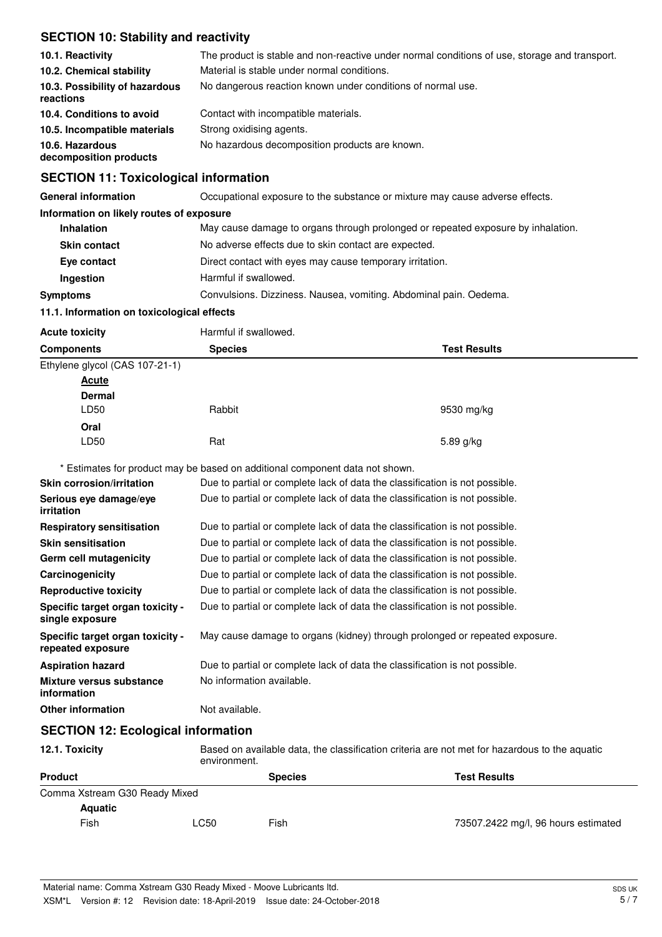## **SECTION 10: Stability and reactivity**

| 10.1. Reactivity<br>10.2. Chemical stability<br>10.3. Possibility of hazardous<br>reactions            | The product is stable and non-reactive under normal conditions of use, storage and transport.<br>Material is stable under normal conditions.<br>No dangerous reaction known under conditions of normal use. |
|--------------------------------------------------------------------------------------------------------|-------------------------------------------------------------------------------------------------------------------------------------------------------------------------------------------------------------|
| 10.4. Conditions to avoid<br>10.5. Incompatible materials<br>10.6. Hazardous<br>decomposition products | Contact with incompatible materials.<br>Strong oxidising agents.<br>No hazardous decomposition products are known.                                                                                          |

## **SECTION 11: Toxicological information**

| <b>General information</b>                 | Occupational exposure to the substance or mixture may cause adverse effects.     |  |
|--------------------------------------------|----------------------------------------------------------------------------------|--|
| Information on likely routes of exposure   |                                                                                  |  |
| <b>Inhalation</b>                          | May cause damage to organs through prolonged or repeated exposure by inhalation. |  |
| <b>Skin contact</b>                        | No adverse effects due to skin contact are expected.                             |  |
| Eye contact                                | Direct contact with eyes may cause temporary irritation.                         |  |
| <b>Ingestion</b>                           | Harmful if swallowed.                                                            |  |
| <b>Symptoms</b>                            | Convulsions. Dizziness. Nausea, vomiting. Abdominal pain. Oedema.                |  |
| 11.1. Information on toxicological effects |                                                                                  |  |

| <b>Acute toxicity</b> | Harmful if swallowed. |
|-----------------------|-----------------------|

| <b>Components</b>              | <b>Species</b> | <b>Test Results</b> |
|--------------------------------|----------------|---------------------|
| Ethylene glycol (CAS 107-21-1) |                |                     |
| <b>Acute</b>                   |                |                     |
| <b>Dermal</b>                  |                |                     |
| LD50                           | Rabbit         | 9530 mg/kg          |
| Oral                           |                |                     |
| LD50                           | Rat            | 5.89 g/kg           |

\* Estimates for product may be based on additional component data not shown.

| <b>Skin corrosion/irritation</b>                      | Due to partial or complete lack of data the classification is not possible. |
|-------------------------------------------------------|-----------------------------------------------------------------------------|
| Serious eye damage/eye<br><i>irritation</i>           | Due to partial or complete lack of data the classification is not possible. |
| <b>Respiratory sensitisation</b>                      | Due to partial or complete lack of data the classification is not possible. |
| <b>Skin sensitisation</b>                             | Due to partial or complete lack of data the classification is not possible. |
| Germ cell mutagenicity                                | Due to partial or complete lack of data the classification is not possible. |
| Carcinogenicity                                       | Due to partial or complete lack of data the classification is not possible. |
| <b>Reproductive toxicity</b>                          | Due to partial or complete lack of data the classification is not possible. |
| Specific target organ toxicity -<br>single exposure   | Due to partial or complete lack of data the classification is not possible. |
| Specific target organ toxicity -<br>repeated exposure | May cause damage to organs (kidney) through prolonged or repeated exposure. |
| <b>Aspiration hazard</b>                              | Due to partial or complete lack of data the classification is not possible. |
| Mixture versus substance<br>information               | No information available.                                                   |
| <b>Other information</b>                              | Not available.                                                              |
| <b>SECTION 12: Ecological information</b>             |                                                                             |

| 12.1. Toxicity                | Based on available data, the classification criteria are not met for hazardous to the aquatic<br>environment. |                                       |                                     |  |
|-------------------------------|---------------------------------------------------------------------------------------------------------------|---------------------------------------|-------------------------------------|--|
| <b>Product</b>                |                                                                                                               | <b>Test Results</b><br><b>Species</b> |                                     |  |
| Comma Xstream G30 Ready Mixed |                                                                                                               |                                       |                                     |  |
| <b>Aquatic</b>                |                                                                                                               |                                       |                                     |  |
| Fish                          | <b>LC50</b>                                                                                                   | Fish                                  | 73507.2422 mg/l, 96 hours estimated |  |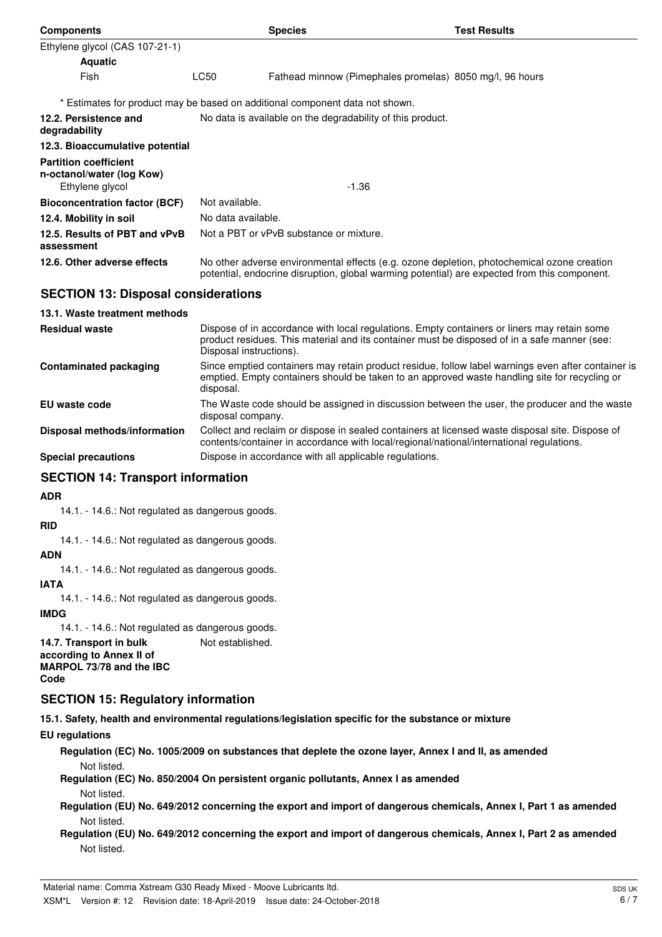| <b>Components</b>                                                            |                                                            | <b>Species</b>                                                                                                                                                                             | <b>Test Results</b> |
|------------------------------------------------------------------------------|------------------------------------------------------------|--------------------------------------------------------------------------------------------------------------------------------------------------------------------------------------------|---------------------|
| Ethylene glycol (CAS 107-21-1)                                               |                                                            |                                                                                                                                                                                            |                     |
| <b>Aquatic</b>                                                               |                                                            |                                                                                                                                                                                            |                     |
| Fish                                                                         | LC50                                                       | Fathead minnow (Pimephales promelas) 8050 mg/l, 96 hours                                                                                                                                   |                     |
|                                                                              |                                                            | * Estimates for product may be based on additional component data not shown.                                                                                                               |                     |
| 12.2. Persistence and<br>degradability                                       | No data is available on the degradability of this product. |                                                                                                                                                                                            |                     |
| 12.3. Bioaccumulative potential                                              |                                                            |                                                                                                                                                                                            |                     |
| <b>Partition coefficient</b><br>n-octanol/water (log Kow)<br>Ethylene glycol |                                                            | -1.36                                                                                                                                                                                      |                     |
| <b>Bioconcentration factor (BCF)</b>                                         | Not available.                                             |                                                                                                                                                                                            |                     |
| 12.4. Mobility in soil                                                       | No data available.                                         |                                                                                                                                                                                            |                     |
| 12.5. Results of PBT and vPvB<br>assessment                                  |                                                            | Not a PBT or vPvB substance or mixture.                                                                                                                                                    |                     |
| 12.6. Other adverse effects                                                  |                                                            | No other adverse environmental effects (e.g. ozone depletion, photochemical ozone creation<br>potential, endocrine disruption, global warming potential) are expected from this component. |                     |
| <b>SECTION 13: Disposal considerations</b>                                   |                                                            |                                                                                                                                                                                            |                     |

| 13.1. Waste treatment methods |                                                                                                                                                                                                                        |
|-------------------------------|------------------------------------------------------------------------------------------------------------------------------------------------------------------------------------------------------------------------|
| <b>Residual waste</b>         | Dispose of in accordance with local regulations. Empty containers or liners may retain some<br>product residues. This material and its container must be disposed of in a safe manner (see:<br>Disposal instructions). |
| <b>Contaminated packaging</b> | Since emptied containers may retain product residue, follow label warnings even after container is<br>emptied. Empty containers should be taken to an approved waste handling site for recycling or<br>disposal.       |
| EU waste code                 | The Waste code should be assigned in discussion between the user, the producer and the waste<br>disposal company.                                                                                                      |
| Disposal methods/information  | Collect and reclaim or dispose in sealed containers at licensed waste disposal site. Dispose of<br>contents/container in accordance with local/regional/national/international regulations.                            |
| <b>Special precautions</b>    | Dispose in accordance with all applicable regulations.                                                                                                                                                                 |

## **SECTION 14: Transport information**

**ADR**

14.1. - 14.6.: Not regulated as dangerous goods.

#### **RID**

14.1. - 14.6.: Not regulated as dangerous goods.

#### **ADN**

14.1. - 14.6.: Not regulated as dangerous goods.

#### **IATA**

14.1. - 14.6.: Not regulated as dangerous goods.

#### **IMDG**

14.1. - 14.6.: Not regulated as dangerous goods.

**14.7. Transport in bulk** Not established. **according to Annex II of MARPOL 73/78 and the IBC Code**

### **SECTION 15: Regulatory information**

**15.1. Safety, health and environmental regulations/legislation specific for the substance or mixture**

**EU regulations**

**Regulation (EC) No. 1005/2009 on substances that deplete the ozone layer, Annex I and II, as amended** Not listed.

**Regulation (EC) No. 850/2004 On persistent organic pollutants, Annex I as amended** Not listed.

**Regulation (EU) No. 649/2012 concerning the export and import of dangerous chemicals, Annex I, Part 1 as amended** Not listed.

**Regulation (EU) No. 649/2012 concerning the export and import of dangerous chemicals, Annex I, Part 2 as amended** Not listed.